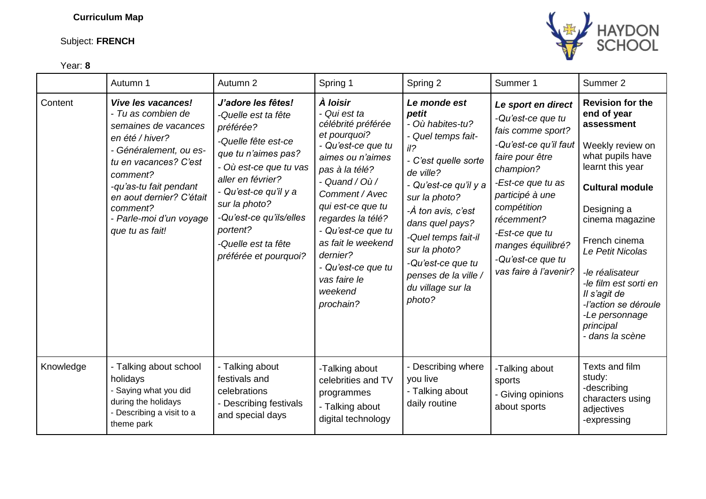## **Curriculum Map**

Content *Vive les vacances!*

- *Tu as combien de semaines de vacances*  *J'adore les fêtes! -Quelle est ta fête* 

*préférée?* 

## Subject: **FRENCH**





|           | en été / hiver?<br>- Généralement, ou es-<br>tu en vacances? C'est<br>comment?<br>-qu'as-tu fait pendant<br>en aout dernier? C'était<br>comment?<br>- Parle-moi d'un voyage<br>que tu as fait! | -Quelle fête est-ce<br>que tu n'aimes pas?<br>- Où est-ce que tu vas<br>aller en février?<br>- Qu'est-ce qu'il y a<br>sur la photo?<br>-Qu'est-ce qu'ils/elles<br>portent?<br>-Quelle est ta fête<br>préférée et pourquoi? | et pourquoi?<br>- Qu'est-ce que tu<br>aimes ou n'aimes<br>pas à la télé?<br>- Quand / $O\dot{u}$ /<br>Comment / Avec<br>qui est-ce que tu<br>regardes la télé?<br>- Qu'est-ce que tu<br>as fait le weekend<br>dernier?<br>- Qu'est-ce que tu<br>vas faire le<br>weekend<br>prochain? | - Quel temps fait-<br>il?<br>- C'est quelle sorte<br>de ville?<br>- Qu'est-ce qu'il y a<br>sur la photo?<br>-À ton avis, c'est<br>dans quel pays?<br>-Quel temps fait-il<br>sur la photo?<br>-Qu'est-ce que tu<br>penses de la ville /<br>du village sur la<br>photo? | -Qu'est-ce qu'il faut<br>faire pour être<br>champion?<br>-Est-ce que tu as<br>participé à une<br>compétition<br>récemment?<br>-Est-ce que tu<br>manges équilibré?<br>-Qu'est-ce que tu<br>vas faire à l'avenir? | Weekly review on<br>what pupils have<br>learnt this year<br><b>Cultural module</b><br>Designing a<br>cinema magazine<br>French cinema<br>Le Petit Nicolas<br>-le réalisateur<br>-le film est sorti en<br>Il s'agit de<br>-l'action se déroule<br>-Le personnage<br>principal<br>- dans la scène |
|-----------|------------------------------------------------------------------------------------------------------------------------------------------------------------------------------------------------|----------------------------------------------------------------------------------------------------------------------------------------------------------------------------------------------------------------------------|--------------------------------------------------------------------------------------------------------------------------------------------------------------------------------------------------------------------------------------------------------------------------------------|-----------------------------------------------------------------------------------------------------------------------------------------------------------------------------------------------------------------------------------------------------------------------|-----------------------------------------------------------------------------------------------------------------------------------------------------------------------------------------------------------------|-------------------------------------------------------------------------------------------------------------------------------------------------------------------------------------------------------------------------------------------------------------------------------------------------|
| Knowledge | - Talking about school<br>holidays<br>Saying what you did<br>during the holidays<br>- Describing a visit to a<br>theme park                                                                    | - Talking about<br>festivals and<br>celebrations<br>- Describing festivals<br>and special days                                                                                                                             | -Talking about<br>celebrities and TV<br>programmes<br>- Talking about<br>digital technology                                                                                                                                                                                          | Describing where<br>you live<br>- Talking about<br>daily routine                                                                                                                                                                                                      | -Talking about<br>sports<br>- Giving opinions<br>about sports                                                                                                                                                   | Texts and film<br>study:<br>-describing<br>characters using<br>adjectives<br>-expressing                                                                                                                                                                                                        |

*À loisir* - *Qui est ta* 

*célébrité préférée*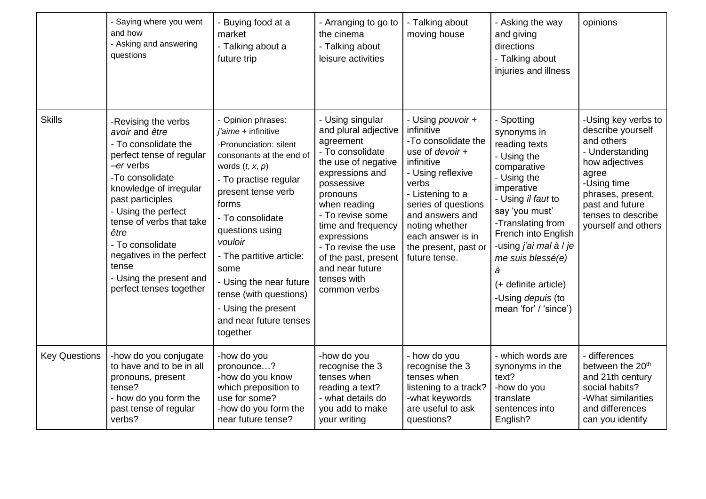|                      | - Saying where you went<br>and how<br>- Asking and answering<br>questions                                                                                                                                                                                                                                                                         | Buying food at a<br>market<br>- Talking about a<br>future trip                                                                                                                                                                                                                                                                                                                          | - Arranging to go to<br>the cinema<br>- Talking about<br>leisure activities                                                                                                                                                                                                                                             | - Talking about<br>moving house                                                                                                                                                                                                                                            | - Asking the way<br>and giving<br>directions<br>- Talking about<br>injuries and illness                                                                                                                                                                                                                             | opinions                                                                                                                                                                                                 |
|----------------------|---------------------------------------------------------------------------------------------------------------------------------------------------------------------------------------------------------------------------------------------------------------------------------------------------------------------------------------------------|-----------------------------------------------------------------------------------------------------------------------------------------------------------------------------------------------------------------------------------------------------------------------------------------------------------------------------------------------------------------------------------------|-------------------------------------------------------------------------------------------------------------------------------------------------------------------------------------------------------------------------------------------------------------------------------------------------------------------------|----------------------------------------------------------------------------------------------------------------------------------------------------------------------------------------------------------------------------------------------------------------------------|---------------------------------------------------------------------------------------------------------------------------------------------------------------------------------------------------------------------------------------------------------------------------------------------------------------------|----------------------------------------------------------------------------------------------------------------------------------------------------------------------------------------------------------|
| <b>Skills</b>        | -Revising the verbs<br>avoir and être<br>- To consolidate the<br>perfect tense of regular<br>-er verbs<br>-To consolidate<br>knowledge of irregular<br>past participles<br>- Using the perfect<br>tense of verbs that take<br>être<br>- To consolidate<br>negatives in the perfect<br>tense<br>- Using the present and<br>perfect tenses together | - Opinion phrases:<br>$i'$ aime + infinitive<br>-Pronunciation: silent<br>consonants at the end of<br>words $(t, x, p)$<br>- To practise regular<br>present tense verb<br>forms<br>- To consolidate<br>questions using<br>vouloir<br>- The partitive article:<br>some<br>- Using the near future<br>tense (with questions)<br>- Using the present<br>and near future tenses<br>together | - Using singular<br>and plural adjective<br>agreement<br>- To consolidate<br>the use of negative<br>expressions and<br>possessive<br>pronouns<br>when reading<br>- To revise some<br>time and frequency<br>expressions<br>- To revise the use<br>of the past, present<br>and near future<br>tenses with<br>common verbs | - Using pouvoir +<br>infinitive<br>-To consolidate the<br>use of <i>devoir</i> +<br>infinitive<br>- Using reflexive<br>verbs<br>- Listening to a<br>series of questions<br>and answers and<br>noting whether<br>each answer is in<br>the present, past or<br>future tense. | - Spotting<br>synonyms in<br>reading texts<br>- Using the<br>comparative<br>- Using the<br>imperative<br>- Using il faut to<br>say 'you must'<br>-Translating from<br>French into English<br>-using j'ai mal à / je<br>me suis blessé(e)<br>à<br>(+ definite article)<br>-Using depuis (to<br>mean 'for' / 'since') | -Using key verbs to<br>describe yourself<br>and others<br>- Understanding<br>how adjectives<br>agree<br>-Using time<br>phrases, present,<br>past and future<br>tenses to describe<br>yourself and others |
| <b>Key Questions</b> | -how do you conjugate<br>to have and to be in all<br>pronouns, present<br>tense?<br>- how do you form the<br>past tense of regular<br>verbs?                                                                                                                                                                                                      | -how do you<br>pronounce?<br>-how do you know<br>which preposition to<br>use for some?<br>-how do you form the<br>near future tense?                                                                                                                                                                                                                                                    | -how do you<br>recognise the 3<br>tenses when<br>reading a text?<br>- what details do<br>you add to make<br>your writing                                                                                                                                                                                                | - how do you<br>recognise the 3<br>tenses when<br>listening to a track?<br>-what keywords<br>are useful to ask<br>questions?                                                                                                                                               | - which words are<br>synonyms in the<br>text?<br>-how do you<br>translate<br>sentences into<br>English?                                                                                                                                                                                                             | - differences<br>between the 20 <sup>th</sup><br>and 21th century<br>social habits?<br>-What similarities<br>and differences<br>can you identify                                                         |